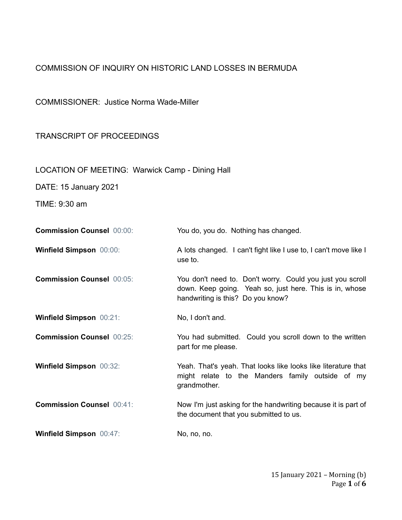## COMMISSION OF INQUIRY ON HISTORIC LAND LOSSES IN BERMUDA

COMMISSIONER: Justice Norma Wade-Miller

## TRANSCRIPT OF PROCEEDINGS

LOCATION OF MEETING: Warwick Camp - Dining Hall

DATE: 15 January 2021

TIME: 9:30 am

| <b>Commission Counsel 00:00:</b> | You do, you do. Nothing has changed.                                                                                                                      |
|----------------------------------|-----------------------------------------------------------------------------------------------------------------------------------------------------------|
| <b>Winfield Simpson 00:00:</b>   | A lots changed. I can't fight like I use to, I can't move like I<br>use to.                                                                               |
| <b>Commission Counsel 00:05:</b> | You don't need to. Don't worry. Could you just you scroll<br>down. Keep going. Yeah so, just here. This is in, whose<br>handwriting is this? Do you know? |
| <b>Winfield Simpson 00:21:</b>   | No, I don't and.                                                                                                                                          |
| <b>Commission Counsel 00:25:</b> | You had submitted. Could you scroll down to the written<br>part for me please.                                                                            |
| <b>Winfield Simpson 00:32:</b>   | Yeah. That's yeah. That looks like looks like literature that<br>might relate to the Manders family outside of my<br>grandmother.                         |
| <b>Commission Counsel 00:41:</b> | Now I'm just asking for the handwriting because it is part of<br>the document that you submitted to us.                                                   |
| <b>Winfield Simpson 00:47:</b>   | No, no, no.                                                                                                                                               |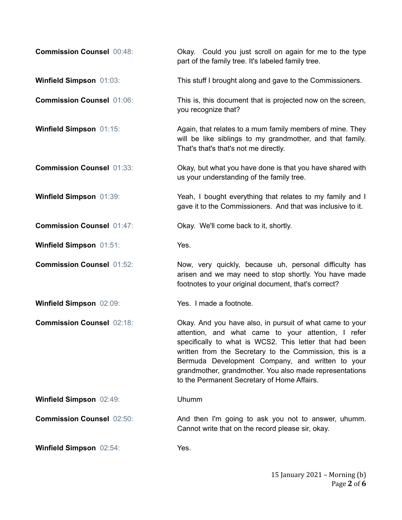| <b>Commission Counsel 00:48:</b> | Okay. Could you just scroll on again for me to the type<br>part of the family tree. It's labeled family tree.                                                                                                                                                                                                                                                                                       |
|----------------------------------|-----------------------------------------------------------------------------------------------------------------------------------------------------------------------------------------------------------------------------------------------------------------------------------------------------------------------------------------------------------------------------------------------------|
| <b>Winfield Simpson 01:03:</b>   | This stuff I brought along and gave to the Commissioners.                                                                                                                                                                                                                                                                                                                                           |
| <b>Commission Counsel 01:06:</b> | This is, this document that is projected now on the screen,<br>you recognize that?                                                                                                                                                                                                                                                                                                                  |
| Winfield Simpson 01:15:          | Again, that relates to a mum family members of mine. They<br>will be like siblings to my grandmother, and that family.<br>That's that's that's not me directly.                                                                                                                                                                                                                                     |
| <b>Commission Counsel 01:33:</b> | Okay, but what you have done is that you have shared with<br>us your understanding of the family tree.                                                                                                                                                                                                                                                                                              |
| Winfield Simpson 01:39:          | Yeah, I bought everything that relates to my family and I<br>gave it to the Commissioners. And that was inclusive to it.                                                                                                                                                                                                                                                                            |
| <b>Commission Counsel 01:47:</b> | Okay. We'll come back to it, shortly.                                                                                                                                                                                                                                                                                                                                                               |
| <b>Winfield Simpson 01:51:</b>   | Yes.                                                                                                                                                                                                                                                                                                                                                                                                |
| <b>Commission Counsel 01:52:</b> | Now, very quickly, because uh, personal difficulty has<br>arisen and we may need to stop shortly. You have made<br>footnotes to your original document, that's correct?                                                                                                                                                                                                                             |
| <b>Winfield Simpson 02:09:</b>   | Yes. I made a footnote.                                                                                                                                                                                                                                                                                                                                                                             |
| <b>Commission Counsel 02:18:</b> | Okay. And you have also, in pursuit of what came to your<br>attention, and what came to your attention, I refer<br>specifically to what is WCS2. This letter that had been<br>written from the Secretary to the Commission, this is a<br>Bermuda Development Company, and written to your<br>grandmother, grandmother. You also made representations<br>to the Permanent Secretary of Home Affairs. |
| Winfield Simpson 02:49:          | Uhumm                                                                                                                                                                                                                                                                                                                                                                                               |
| <b>Commission Counsel 02:50:</b> | And then I'm going to ask you not to answer, uhumm.<br>Cannot write that on the record please sir, okay.                                                                                                                                                                                                                                                                                            |
| Winfield Simpson 02:54:          | Yes.                                                                                                                                                                                                                                                                                                                                                                                                |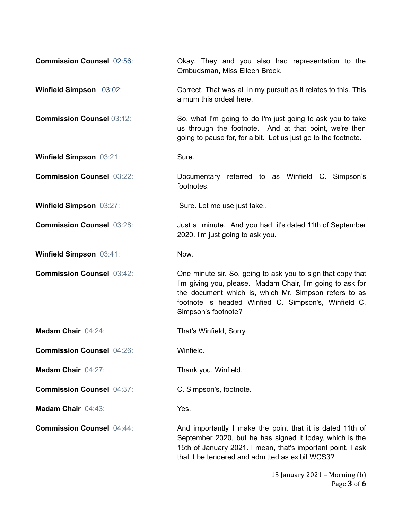| <b>Commission Counsel 02:56:</b> | Okay. They and you also had representation to the<br>Ombudsman, Miss Eileen Brock.                                                                                                                                                                               |
|----------------------------------|------------------------------------------------------------------------------------------------------------------------------------------------------------------------------------------------------------------------------------------------------------------|
| Winfield Simpson 03:02:          | Correct. That was all in my pursuit as it relates to this. This<br>a mum this ordeal here.                                                                                                                                                                       |
| <b>Commission Counsel 03:12:</b> | So, what I'm going to do I'm just going to ask you to take<br>us through the footnote. And at that point, we're then<br>going to pause for, for a bit. Let us just go to the footnote.                                                                           |
| Winfield Simpson 03:21:          | Sure.                                                                                                                                                                                                                                                            |
| <b>Commission Counsel 03:22:</b> | Documentary referred to as Winfield C. Simpson's<br>footnotes.                                                                                                                                                                                                   |
| <b>Winfield Simpson 03:27:</b>   | Sure. Let me use just take                                                                                                                                                                                                                                       |
| <b>Commission Counsel 03:28:</b> | Just a minute. And you had, it's dated 11th of September<br>2020. I'm just going to ask you.                                                                                                                                                                     |
| <b>Winfield Simpson 03:41:</b>   | Now.                                                                                                                                                                                                                                                             |
| <b>Commission Counsel 03:42:</b> | One minute sir. So, going to ask you to sign that copy that<br>I'm giving you, please. Madam Chair, I'm going to ask for<br>the document which is, which Mr. Simpson refers to as<br>footnote is headed Winfied C. Simpson's, Winfield C.<br>Simpson's footnote? |
| Madam Chair 04:24:               | That's Winfield, Sorry.                                                                                                                                                                                                                                          |
| <b>Commission Counsel 04:26:</b> | Winfield.                                                                                                                                                                                                                                                        |
| Madam Chair 04:27:               | Thank you. Winfield.                                                                                                                                                                                                                                             |
| <b>Commission Counsel 04:37:</b> | C. Simpson's, footnote.                                                                                                                                                                                                                                          |
| Madam Chair 04:43:               | Yes.                                                                                                                                                                                                                                                             |
| <b>Commission Counsel 04:44:</b> | And importantly I make the point that it is dated 11th of<br>September 2020, but he has signed it today, which is the<br>15th of January 2021. I mean, that's important point. I ask<br>that it be tendered and admitted as exibit WCS3?                         |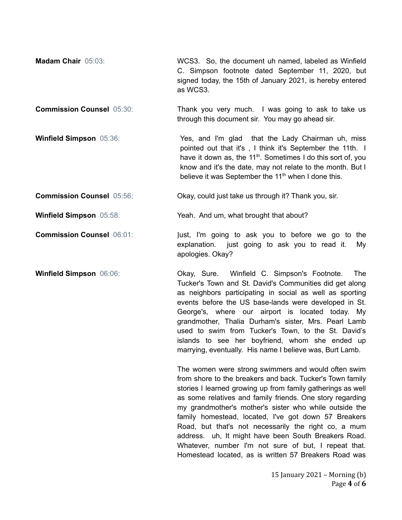| <b>Madam Chair 05:03:</b> | WCS3. So, the document uh named, labeled as Winfield                  |
|---------------------------|-----------------------------------------------------------------------|
|                           | C. Simpson footnote dated September 11, 2020, but                     |
|                           | signed today, the 15th of January 2021, is hereby entered<br>as WCS3. |
|                           |                                                                       |

**Commission Counsel** 05:30: Thank you very much. I was going to ask to take us through this document sir. You may go ahead sir.

**Winfield Simpson** 05:36: Yes, and I'm glad that the Lady Chairman uh, miss pointed out that it's , I think it's September the 11th. I have it down as, the 11<sup>th</sup>. Sometimes I do this sort of, you know and it's the date, may not relate to the month. But I believe it was September the 11<sup>th</sup> when I done this.

**Commission Counsel** 05:56; Could just take us through it? Thank you, sir.

**Winfield Simpson** 05:58: Yeah. And um, what brought that about?

**Commission Counsel** 06:01: Just, I'm going to ask you to before we go to the explanation. just going to ask you to read it. My apologies. Okay?

**Winfield Simpson** 06:06: Okay, Sure. Winfield C. Simpson's Footnote. The Tucker's Town and St. David's Communities did get along as neighbors participating in social as well as sporting events before the US base-lands were developed in St. George's, where our airport is located today. My grandmother, Thalia Durham's sister, Mrs. Pearl Lamb used to swim from Tucker's Town, to the St. David's islands to see her boyfriend, whom she ended up marrying, eventually. His name I believe was, Burt Lamb.

> The women were strong swimmers and would often swim from shore to the breakers and back. Tucker's Town family stories I learned growing up from family gatherings as well as some relatives and family friends. One story regarding my grandmother's mother's sister who while outside the family homestead, located, I've got down 57 Breakers Road, but that's not necessarily the right co, a mum address. uh, It might have been South Breakers Road. Whatever, number I'm not sure of but, I repeat that. Homestead located, as is written 57 Breakers Road was

> > 15 January 2021 – Morning (b) Page **4** of **6**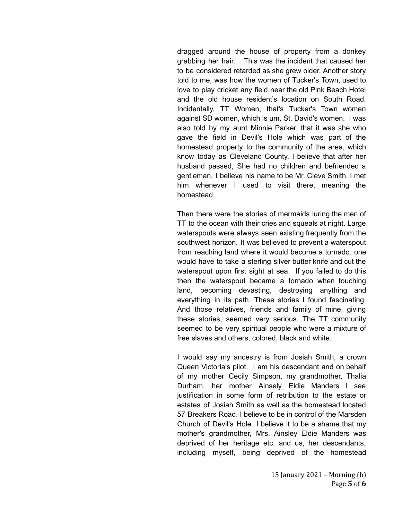dragged around the house of property from a donkey grabbing her hair. This was the incident that caused her to be considered retarded as she grew older. Another story told to me, was how the women of Tucker's Town, used to love to play cricket any field near the old Pink Beach Hotel and the old house resident's location on South Road. Incidentally, TT Women, that's Tucker's Town women against SD women, which is um, St. David's women. I was also told by my aunt Minnie Parker, that it was she who gave the field in Devil's Hole which was part of the homestead property to the community of the area, which know today as Cleveland County. I believe that after her husband passed, She had no children and befriended a gentleman, I believe his name to be Mr. Cleve Smith. I met him whenever I used to visit there, meaning the homestead.

Then there were the stories of mermaids luring the men of TT to the ocean with their cries and squeals at night. Large waterspouts were always seen existing frequently from the southwest horizon. It was believed to prevent a waterspout from reaching land where it would become a tornado. one would have to take a sterling silver butter knife and cut the waterspout upon first sight at sea. If you failed to do this then the waterspout became a tornado when touching land, becoming devasting, destroying anything and everything in its path. These stories I found fascinating. And those relatives, friends and family of mine, giving these stories, seemed very serious. The TT community seemed to be very spiritual people who were a mixture of free slaves and others, colored, black and white.

I would say my ancestry is from Josiah Smith, a crown Queen Victoria's pilot. I am his descendant and on behalf of my mother Cecily Simpson, my grandmother, Thalia Durham, her mother Ainsely Eldie Manders I see justification in some form of retribution to the estate or estates of Josiah Smith as well as the homestead located 57 Breakers Road. I believe to be in control of the Marsden Church of Devil's Hole. I believe it to be a shame that my mother's grandmother, Mrs. Ainsley Eldie Manders was deprived of her heritage etc. and us, her descendants, including myself, being deprived of the homestead

> 15 January 2021 – Morning (b) Page **5** of **6**